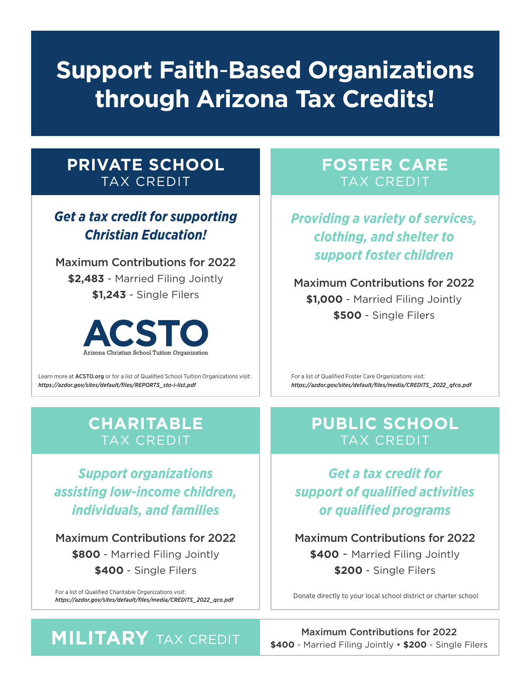## **Support Faith**-**Based Organizations through Arizona Tax Credits!**

#### **PRIVATE SCHOOL** TAX CREDIT

*Get a tax credit for supporting Christian Education!*

Maximum Contributions for 2022 **\$2,483** - Married Filing Jointly **\$1,243** - Single Filers



Learn more at ACSTO.org or for a list of Qualified School Tuition Organizations visit: *https://azdor.gov/sites/default/files/REPORTS\_sto-i-list.pdf*

#### **FOSTER CARE** TAX CREDIT

*Providing a variety of services, clothing, and shelter to support foster children*

Maximum Contributions for 2022 **\$1,000** - Married Filing Jointly **\$500** - Single Filers

For a list of Qualified Foster Care Organizations visit: *https://azdor.gov/sites/default/files/media/CREDITS\_2022\_qfco.pdf*

#### **CHARITABLE** TAX CREDIT

*Support organizations assisting low-income children, individuals, and families*

Maximum Contributions for 2022 **\$800** - Married Filing Jointly **\$400** - Single Filers

For a list of Qualified Charitable Organizations visit: *https://azdor.gov/sites/default/files/media/CREDITS\_2022\_qco.pdf* Donate directly to your local school district or charter school

#### **PUBLIC SCHOOL** TAX CREDIT

*Get a tax credit for support of qualified activities or qualified programs*

Maximum Contributions for 2022 **\$400** - Married Filing Jointly **\$200** - Single Filers

**MILITARY** TAX CREDIT **19400 Maximum Contributions for 2022**<br>\$400 - Married Filing Jointly • \$200 - Single Filers